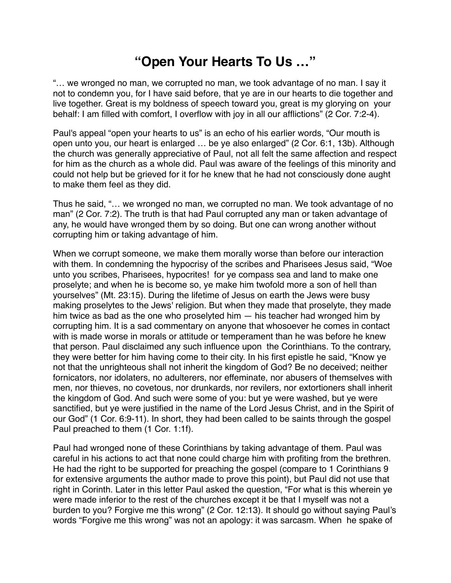## **"Open Your Hearts To Us …"**

"… we wronged no man, we corrupted no man, we took advantage of no man. I say it not to condemn you, for I have said before, that ye are in our hearts to die together and live together. Great is my boldness of speech toward you, great is my glorying on your behalf: I am filled with comfort, I overflow with joy in all our afflictions" (2 Cor. 7:2-4).

Paul's appeal "open your hearts to us" is an echo of his earlier words, "Our mouth is open unto you, our heart is enlarged … be ye also enlarged" (2 Cor. 6:1, 13b). Although the church was generally appreciative of Paul, not all felt the same affection and respect for him as the church as a whole did. Paul was aware of the feelings of this minority and could not help but be grieved for it for he knew that he had not consciously done aught to make them feel as they did.

Thus he said, "… we wronged no man, we corrupted no man. We took advantage of no man" (2 Cor. 7:2). The truth is that had Paul corrupted any man or taken advantage of any, he would have wronged them by so doing. But one can wrong another without corrupting him or taking advantage of him.

When we corrupt someone, we make them morally worse than before our interaction with them. In condemning the hypocrisy of the scribes and Pharisees Jesus said, "Woe unto you scribes, Pharisees, hypocrites! for ye compass sea and land to make one proselyte; and when he is become so, ye make him twofold more a son of hell than yourselves" (Mt. 23:15). During the lifetime of Jesus on earth the Jews were busy making proselytes to the Jews' religion. But when they made that proselyte, they made him twice as bad as the one who proselyted him — his teacher had wronged him by corrupting him. It is a sad commentary on anyone that whosoever he comes in contact with is made worse in morals or attitude or temperament than he was before he knew that person. Paul disclaimed any such influence upon the Corinthians. To the contrary, they were better for him having come to their city. In his first epistle he said, "Know ye not that the unrighteous shall not inherit the kingdom of God? Be no deceived; neither fornicators, nor idolaters, no adulterers, nor effeminate, nor abusers of themselves with men, nor thieves, no covetous, nor drunkards, nor revilers, nor extortioners shall inherit the kingdom of God. And such were some of you: but ye were washed, but ye were sanctified, but ye were justified in the name of the Lord Jesus Christ, and in the Spirit of our God" (1 Cor. 6:9-11). In short, they had been called to be saints through the gospel Paul preached to them (1 Cor. 1:1f).

Paul had wronged none of these Corinthians by taking advantage of them. Paul was careful in his actions to act that none could charge him with profiting from the brethren. He had the right to be supported for preaching the gospel (compare to 1 Corinthians 9 for extensive arguments the author made to prove this point), but Paul did not use that right in Corinth. Later in this letter Paul asked the question, "For what is this wherein ye were made inferior to the rest of the churches except it be that I myself was not a burden to you? Forgive me this wrong" (2 Cor. 12:13). It should go without saying Paul's words "Forgive me this wrong" was not an apology: it was sarcasm. When he spake of